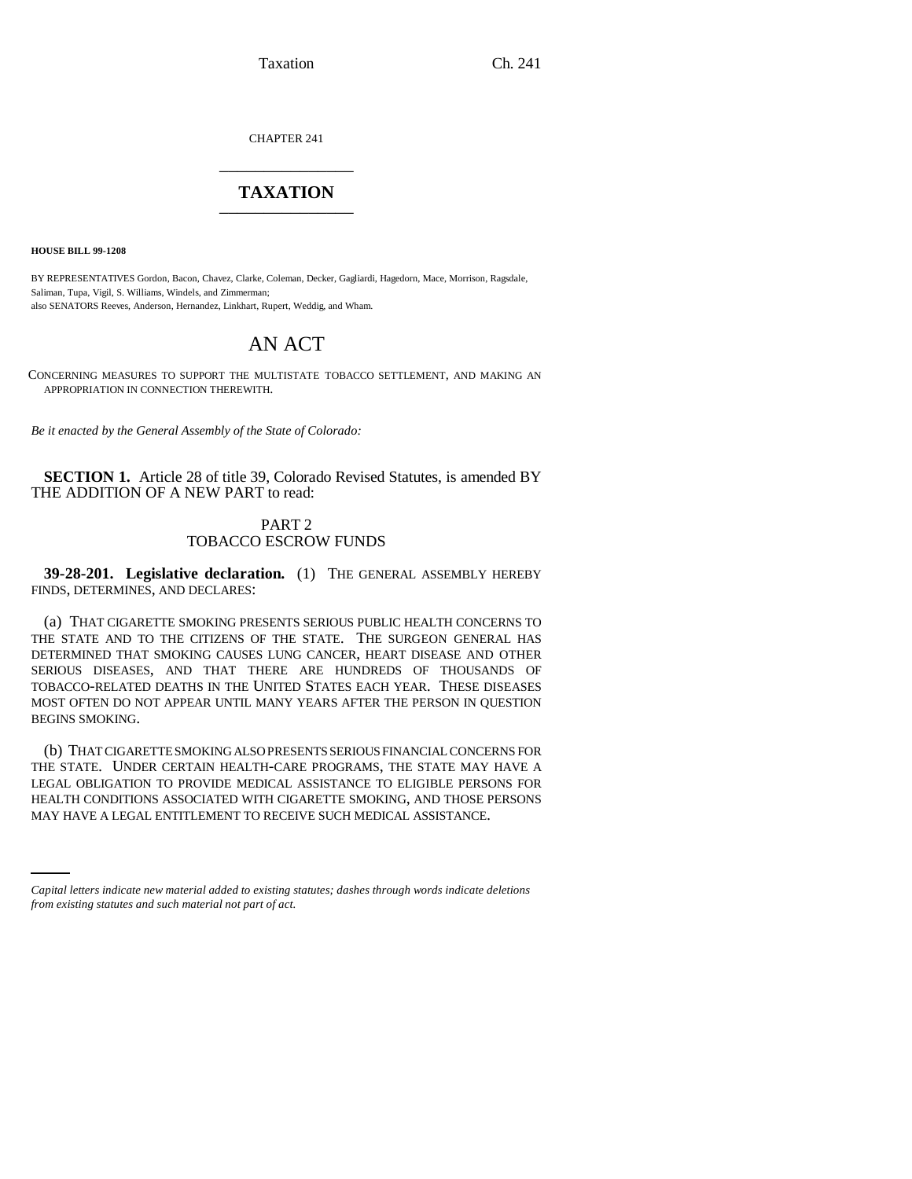Taxation Ch. 241

CHAPTER 241 \_\_\_\_\_\_\_\_\_\_\_\_\_\_\_

## **TAXATION** \_\_\_\_\_\_\_\_\_\_\_\_\_\_\_

**HOUSE BILL 99-1208**

BY REPRESENTATIVES Gordon, Bacon, Chavez, Clarke, Coleman, Decker, Gagliardi, Hagedorn, Mace, Morrison, Ragsdale, Saliman, Tupa, Vigil, S. Williams, Windels, and Zimmerman; also SENATORS Reeves, Anderson, Hernandez, Linkhart, Rupert, Weddig, and Wham.

# AN ACT

CONCERNING MEASURES TO SUPPORT THE MULTISTATE TOBACCO SETTLEMENT, AND MAKING AN APPROPRIATION IN CONNECTION THEREWITH.

*Be it enacted by the General Assembly of the State of Colorado:*

**SECTION 1.** Article 28 of title 39, Colorado Revised Statutes, is amended BY THE ADDITION OF A NEW PART to read:

### PART 2 TOBACCO ESCROW FUNDS

**39-28-201. Legislative declaration.** (1) THE GENERAL ASSEMBLY HEREBY FINDS, DETERMINES, AND DECLARES:

(a) THAT CIGARETTE SMOKING PRESENTS SERIOUS PUBLIC HEALTH CONCERNS TO THE STATE AND TO THE CITIZENS OF THE STATE. THE SURGEON GENERAL HAS DETERMINED THAT SMOKING CAUSES LUNG CANCER, HEART DISEASE AND OTHER SERIOUS DISEASES, AND THAT THERE ARE HUNDREDS OF THOUSANDS OF TOBACCO-RELATED DEATHS IN THE UNITED STATES EACH YEAR. THESE DISEASES MOST OFTEN DO NOT APPEAR UNTIL MANY YEARS AFTER THE PERSON IN QUESTION BEGINS SMOKING.

HEALTH CONDITIONS ASSOCIATED WITH CIGARETTE SMOKING, AND THOSE PERSONS (b) THAT CIGARETTE SMOKING ALSO PRESENTS SERIOUS FINANCIAL CONCERNS FOR THE STATE. UNDER CERTAIN HEALTH-CARE PROGRAMS, THE STATE MAY HAVE A LEGAL OBLIGATION TO PROVIDE MEDICAL ASSISTANCE TO ELIGIBLE PERSONS FOR MAY HAVE A LEGAL ENTITLEMENT TO RECEIVE SUCH MEDICAL ASSISTANCE.

*Capital letters indicate new material added to existing statutes; dashes through words indicate deletions from existing statutes and such material not part of act.*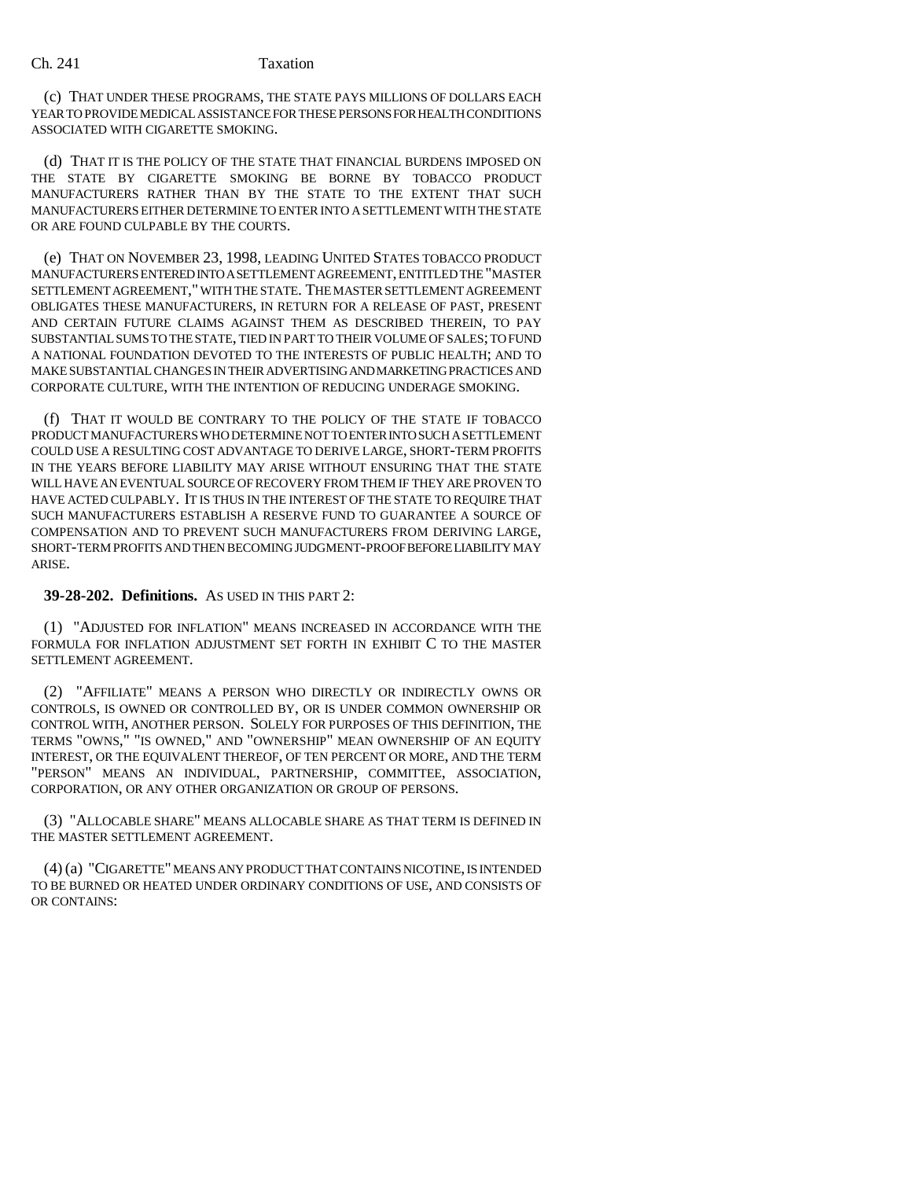#### Ch. 241 Taxation

(c) THAT UNDER THESE PROGRAMS, THE STATE PAYS MILLIONS OF DOLLARS EACH YEAR TO PROVIDE MEDICAL ASSISTANCE FOR THESE PERSONS FOR HEALTH CONDITIONS ASSOCIATED WITH CIGARETTE SMOKING.

(d) THAT IT IS THE POLICY OF THE STATE THAT FINANCIAL BURDENS IMPOSED ON THE STATE BY CIGARETTE SMOKING BE BORNE BY TOBACCO PRODUCT MANUFACTURERS RATHER THAN BY THE STATE TO THE EXTENT THAT SUCH MANUFACTURERS EITHER DETERMINE TO ENTER INTO A SETTLEMENT WITH THE STATE OR ARE FOUND CULPABLE BY THE COURTS.

(e) THAT ON NOVEMBER 23, 1998, LEADING UNITED STATES TOBACCO PRODUCT MANUFACTURERS ENTERED INTO A SETTLEMENT AGREEMENT, ENTITLED THE "MASTER SETTLEMENT AGREEMENT," WITH THE STATE. THE MASTER SETTLEMENT AGREEMENT OBLIGATES THESE MANUFACTURERS, IN RETURN FOR A RELEASE OF PAST, PRESENT AND CERTAIN FUTURE CLAIMS AGAINST THEM AS DESCRIBED THEREIN, TO PAY SUBSTANTIAL SUMS TO THE STATE, TIED IN PART TO THEIR VOLUME OF SALES; TO FUND A NATIONAL FOUNDATION DEVOTED TO THE INTERESTS OF PUBLIC HEALTH; AND TO MAKE SUBSTANTIAL CHANGES IN THEIR ADVERTISING AND MARKETING PRACTICES AND CORPORATE CULTURE, WITH THE INTENTION OF REDUCING UNDERAGE SMOKING.

(f) THAT IT WOULD BE CONTRARY TO THE POLICY OF THE STATE IF TOBACCO PRODUCT MANUFACTURERS WHO DETERMINE NOT TO ENTER INTO SUCH A SETTLEMENT COULD USE A RESULTING COST ADVANTAGE TO DERIVE LARGE, SHORT-TERM PROFITS IN THE YEARS BEFORE LIABILITY MAY ARISE WITHOUT ENSURING THAT THE STATE WILL HAVE AN EVENTUAL SOURCE OF RECOVERY FROM THEM IF THEY ARE PROVEN TO HAVE ACTED CULPABLY. IT IS THUS IN THE INTEREST OF THE STATE TO REQUIRE THAT SUCH MANUFACTURERS ESTABLISH A RESERVE FUND TO GUARANTEE A SOURCE OF COMPENSATION AND TO PREVENT SUCH MANUFACTURERS FROM DERIVING LARGE, SHORT-TERM PROFITS AND THEN BECOMING JUDGMENT-PROOF BEFORE LIABILITY MAY ARISE.

#### **39-28-202. Definitions.** AS USED IN THIS PART 2:

(1) "ADJUSTED FOR INFLATION" MEANS INCREASED IN ACCORDANCE WITH THE FORMULA FOR INFLATION ADJUSTMENT SET FORTH IN EXHIBIT C TO THE MASTER SETTLEMENT AGREEMENT.

(2) "AFFILIATE" MEANS A PERSON WHO DIRECTLY OR INDIRECTLY OWNS OR CONTROLS, IS OWNED OR CONTROLLED BY, OR IS UNDER COMMON OWNERSHIP OR CONTROL WITH, ANOTHER PERSON. SOLELY FOR PURPOSES OF THIS DEFINITION, THE TERMS "OWNS," "IS OWNED," AND "OWNERSHIP" MEAN OWNERSHIP OF AN EQUITY INTEREST, OR THE EQUIVALENT THEREOF, OF TEN PERCENT OR MORE, AND THE TERM "PERSON" MEANS AN INDIVIDUAL, PARTNERSHIP, COMMITTEE, ASSOCIATION, CORPORATION, OR ANY OTHER ORGANIZATION OR GROUP OF PERSONS.

(3) "ALLOCABLE SHARE" MEANS ALLOCABLE SHARE AS THAT TERM IS DEFINED IN THE MASTER SETTLEMENT AGREEMENT.

(4) (a) "CIGARETTE" MEANS ANY PRODUCT THAT CONTAINS NICOTINE, IS INTENDED TO BE BURNED OR HEATED UNDER ORDINARY CONDITIONS OF USE, AND CONSISTS OF OR CONTAINS: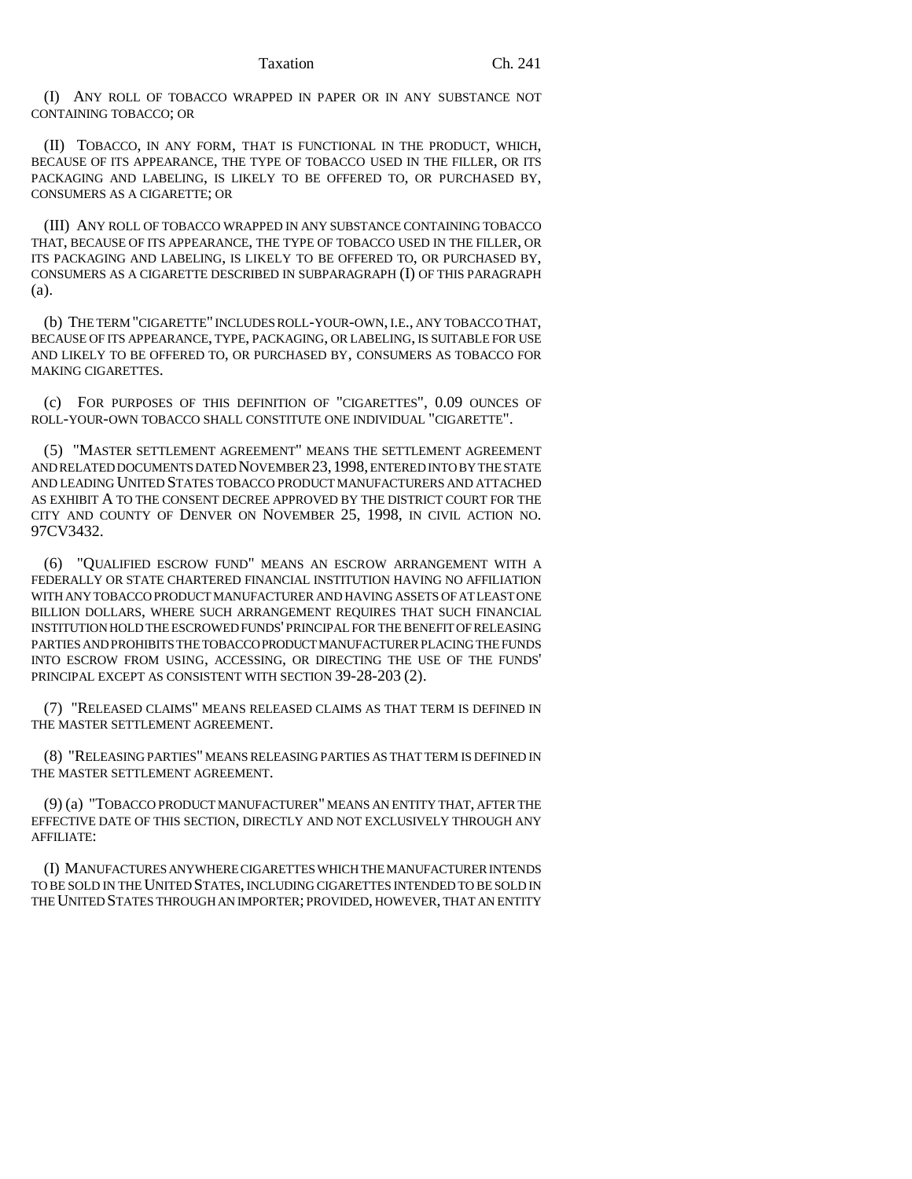(I) ANY ROLL OF TOBACCO WRAPPED IN PAPER OR IN ANY SUBSTANCE NOT CONTAINING TOBACCO; OR

(II) TOBACCO, IN ANY FORM, THAT IS FUNCTIONAL IN THE PRODUCT, WHICH, BECAUSE OF ITS APPEARANCE, THE TYPE OF TOBACCO USED IN THE FILLER, OR ITS PACKAGING AND LABELING, IS LIKELY TO BE OFFERED TO, OR PURCHASED BY, CONSUMERS AS A CIGARETTE; OR

(III) ANY ROLL OF TOBACCO WRAPPED IN ANY SUBSTANCE CONTAINING TOBACCO THAT, BECAUSE OF ITS APPEARANCE, THE TYPE OF TOBACCO USED IN THE FILLER, OR ITS PACKAGING AND LABELING, IS LIKELY TO BE OFFERED TO, OR PURCHASED BY, CONSUMERS AS A CIGARETTE DESCRIBED IN SUBPARAGRAPH (I) OF THIS PARAGRAPH (a).

(b) THE TERM "CIGARETTE" INCLUDES ROLL-YOUR-OWN, I.E., ANY TOBACCO THAT, BECAUSE OF ITS APPEARANCE, TYPE, PACKAGING, OR LABELING, IS SUITABLE FOR USE AND LIKELY TO BE OFFERED TO, OR PURCHASED BY, CONSUMERS AS TOBACCO FOR MAKING CIGARETTES.

(c) FOR PURPOSES OF THIS DEFINITION OF "CIGARETTES", 0.09 OUNCES OF ROLL-YOUR-OWN TOBACCO SHALL CONSTITUTE ONE INDIVIDUAL "CIGARETTE".

(5) "MASTER SETTLEMENT AGREEMENT" MEANS THE SETTLEMENT AGREEMENT AND RELATED DOCUMENTS DATED NOVEMBER 23,1998, ENTERED INTO BY THE STATE AND LEADING UNITED STATES TOBACCO PRODUCT MANUFACTURERS AND ATTACHED AS EXHIBIT A TO THE CONSENT DECREE APPROVED BY THE DISTRICT COURT FOR THE CITY AND COUNTY OF DENVER ON NOVEMBER 25, 1998, IN CIVIL ACTION NO. 97CV3432.

(6) "QUALIFIED ESCROW FUND" MEANS AN ESCROW ARRANGEMENT WITH A FEDERALLY OR STATE CHARTERED FINANCIAL INSTITUTION HAVING NO AFFILIATION WITH ANY TOBACCO PRODUCT MANUFACTURER AND HAVING ASSETS OF AT LEAST ONE BILLION DOLLARS, WHERE SUCH ARRANGEMENT REQUIRES THAT SUCH FINANCIAL INSTITUTION HOLD THE ESCROWED FUNDS' PRINCIPAL FOR THE BENEFIT OF RELEASING PARTIES AND PROHIBITS THE TOBACCO PRODUCT MANUFACTURER PLACING THE FUNDS INTO ESCROW FROM USING, ACCESSING, OR DIRECTING THE USE OF THE FUNDS' PRINCIPAL EXCEPT AS CONSISTENT WITH SECTION 39-28-203 (2).

(7) "RELEASED CLAIMS" MEANS RELEASED CLAIMS AS THAT TERM IS DEFINED IN THE MASTER SETTLEMENT AGREEMENT.

(8) "RELEASING PARTIES" MEANS RELEASING PARTIES AS THAT TERM IS DEFINED IN THE MASTER SETTLEMENT AGREEMENT.

(9) (a) "TOBACCO PRODUCT MANUFACTURER" MEANS AN ENTITY THAT, AFTER THE EFFECTIVE DATE OF THIS SECTION, DIRECTLY AND NOT EXCLUSIVELY THROUGH ANY AFFILIATE:

(I) MANUFACTURES ANYWHERE CIGARETTES WHICH THE MANUFACTURER INTENDS TO BE SOLD IN THE UNITED STATES, INCLUDING CIGARETTES INTENDED TO BE SOLD IN THE UNITED STATES THROUGH AN IMPORTER; PROVIDED, HOWEVER, THAT AN ENTITY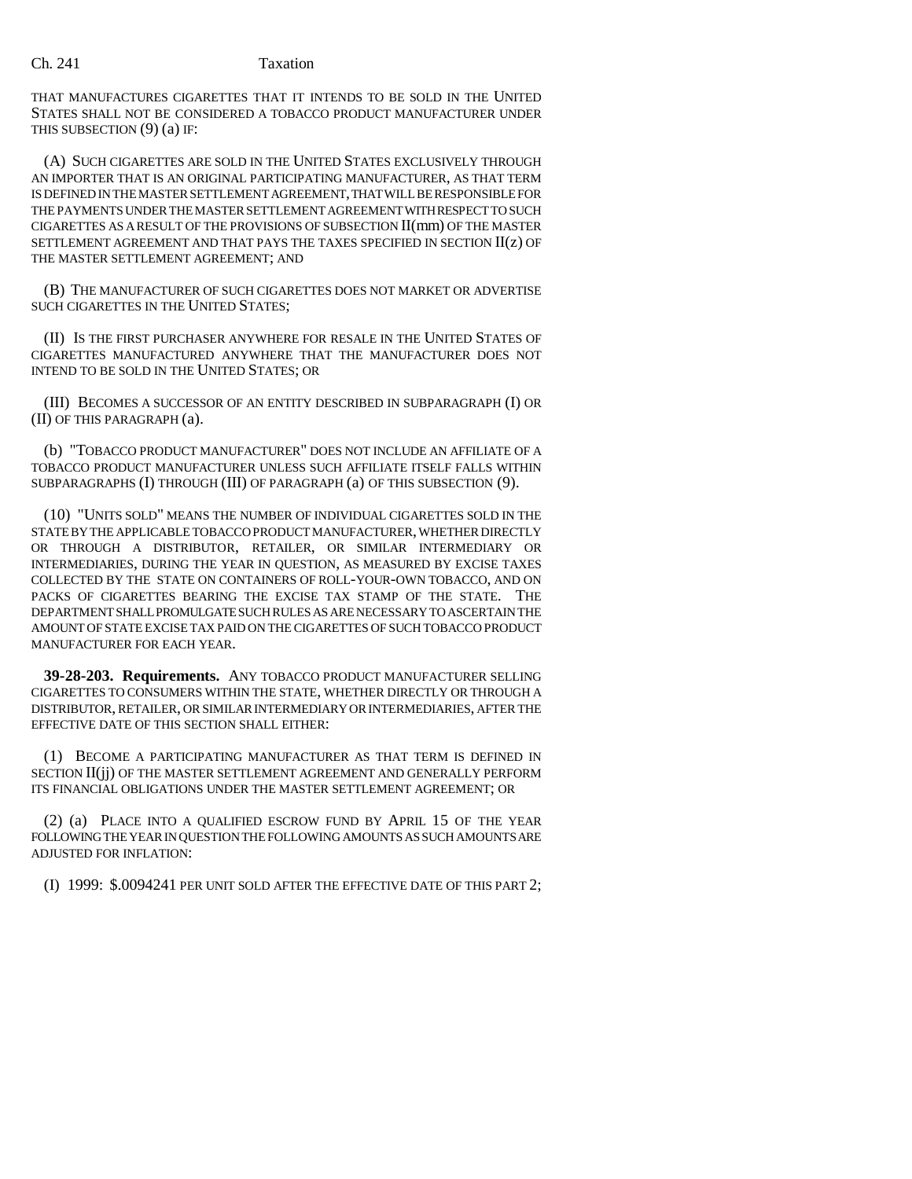#### Ch. 241 Taxation

THAT MANUFACTURES CIGARETTES THAT IT INTENDS TO BE SOLD IN THE UNITED STATES SHALL NOT BE CONSIDERED A TOBACCO PRODUCT MANUFACTURER UNDER THIS SUBSECTION (9) (a) IF:

(A) SUCH CIGARETTES ARE SOLD IN THE UNITED STATES EXCLUSIVELY THROUGH AN IMPORTER THAT IS AN ORIGINAL PARTICIPATING MANUFACTURER, AS THAT TERM IS DEFINED IN THE MASTER SETTLEMENT AGREEMENT, THAT WILL BE RESPONSIBLE FOR THE PAYMENTS UNDER THE MASTER SETTLEMENT AGREEMENT WITH RESPECT TO SUCH CIGARETTES AS A RESULT OF THE PROVISIONS OF SUBSECTION II(mm) OF THE MASTER SETTLEMENT AGREEMENT AND THAT PAYS THE TAXES SPECIFIED IN SECTION  $II(z)$  OF THE MASTER SETTLEMENT AGREEMENT; AND

(B) THE MANUFACTURER OF SUCH CIGARETTES DOES NOT MARKET OR ADVERTISE SUCH CIGARETTES IN THE UNITED STATES;

(II) IS THE FIRST PURCHASER ANYWHERE FOR RESALE IN THE UNITED STATES OF CIGARETTES MANUFACTURED ANYWHERE THAT THE MANUFACTURER DOES NOT INTEND TO BE SOLD IN THE UNITED STATES; OR

(III) BECOMES A SUCCESSOR OF AN ENTITY DESCRIBED IN SUBPARAGRAPH (I) OR (II) OF THIS PARAGRAPH (a).

(b) "TOBACCO PRODUCT MANUFACTURER" DOES NOT INCLUDE AN AFFILIATE OF A TOBACCO PRODUCT MANUFACTURER UNLESS SUCH AFFILIATE ITSELF FALLS WITHIN SUBPARAGRAPHS (I) THROUGH (III) OF PARAGRAPH (a) OF THIS SUBSECTION (9).

(10) "UNITS SOLD" MEANS THE NUMBER OF INDIVIDUAL CIGARETTES SOLD IN THE STATE BY THE APPLICABLE TOBACCO PRODUCT MANUFACTURER, WHETHER DIRECTLY OR THROUGH A DISTRIBUTOR, RETAILER, OR SIMILAR INTERMEDIARY OR INTERMEDIARIES, DURING THE YEAR IN QUESTION, AS MEASURED BY EXCISE TAXES COLLECTED BY THE STATE ON CONTAINERS OF ROLL-YOUR-OWN TOBACCO, AND ON PACKS OF CIGARETTES BEARING THE EXCISE TAX STAMP OF THE STATE. THE DEPARTMENT SHALL PROMULGATE SUCH RULES AS ARE NECESSARY TO ASCERTAIN THE AMOUNT OF STATE EXCISE TAX PAID ON THE CIGARETTES OF SUCH TOBACCO PRODUCT MANUFACTURER FOR EACH YEAR.

**39-28-203. Requirements.** ANY TOBACCO PRODUCT MANUFACTURER SELLING CIGARETTES TO CONSUMERS WITHIN THE STATE, WHETHER DIRECTLY OR THROUGH A DISTRIBUTOR, RETAILER, OR SIMILAR INTERMEDIARY OR INTERMEDIARIES, AFTER THE EFFECTIVE DATE OF THIS SECTION SHALL EITHER:

(1) BECOME A PARTICIPATING MANUFACTURER AS THAT TERM IS DEFINED IN SECTION II(jj) OF THE MASTER SETTLEMENT AGREEMENT AND GENERALLY PERFORM ITS FINANCIAL OBLIGATIONS UNDER THE MASTER SETTLEMENT AGREEMENT; OR

(2) (a) PLACE INTO A QUALIFIED ESCROW FUND BY APRIL 15 OF THE YEAR FOLLOWING THE YEAR IN QUESTION THE FOLLOWING AMOUNTS AS SUCH AMOUNTS ARE ADJUSTED FOR INFLATION:

(I) 1999: \$.0094241 PER UNIT SOLD AFTER THE EFFECTIVE DATE OF THIS PART 2;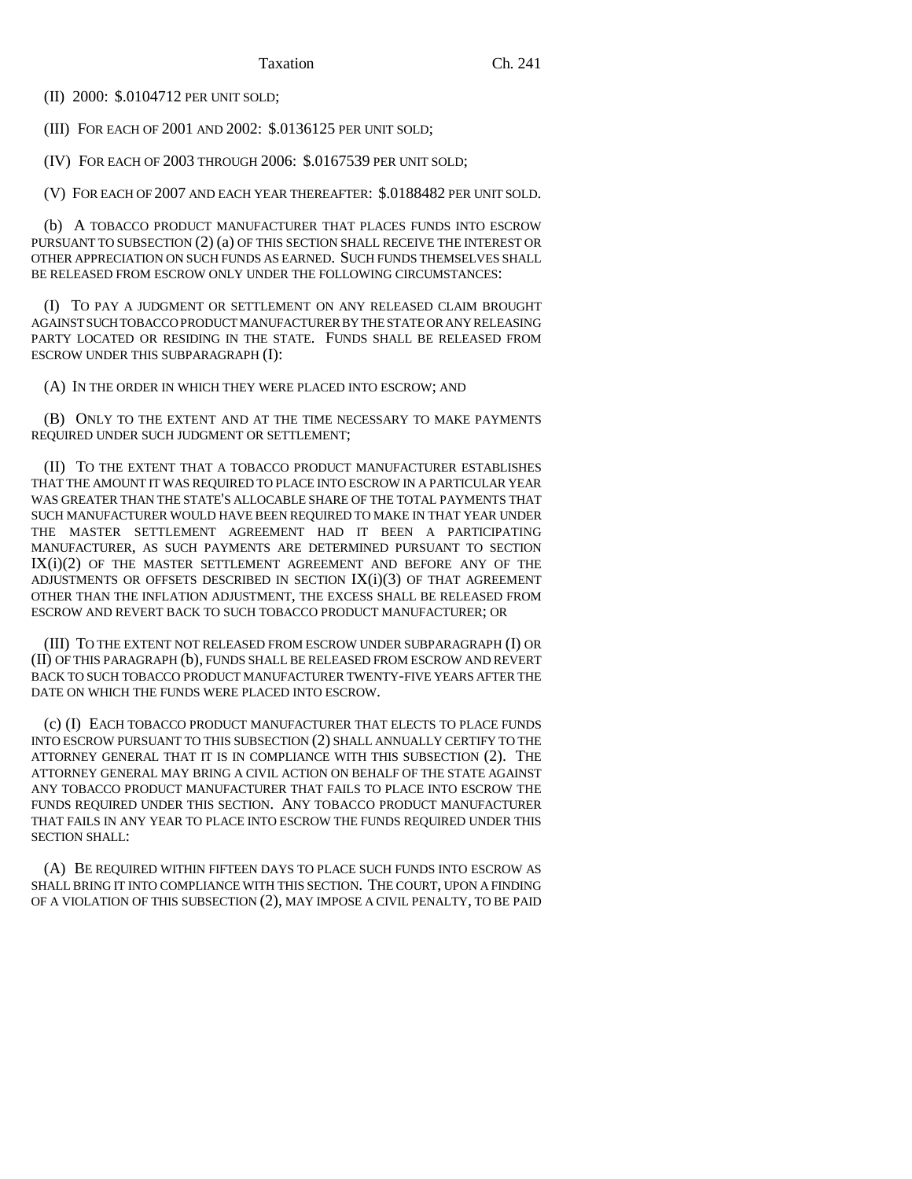(II) 2000: \$.0104712 PER UNIT SOLD;

(III) FOR EACH OF 2001 AND 2002: \$.0136125 PER UNIT SOLD;

(IV) FOR EACH OF 2003 THROUGH 2006: \$.0167539 PER UNIT SOLD;

(V) FOR EACH OF 2007 AND EACH YEAR THEREAFTER: \$.0188482 PER UNIT SOLD.

(b) A TOBACCO PRODUCT MANUFACTURER THAT PLACES FUNDS INTO ESCROW PURSUANT TO SUBSECTION (2) (a) OF THIS SECTION SHALL RECEIVE THE INTEREST OR OTHER APPRECIATION ON SUCH FUNDS AS EARNED. SUCH FUNDS THEMSELVES SHALL BE RELEASED FROM ESCROW ONLY UNDER THE FOLLOWING CIRCUMSTANCES:

(I) TO PAY A JUDGMENT OR SETTLEMENT ON ANY RELEASED CLAIM BROUGHT AGAINST SUCH TOBACCO PRODUCT MANUFACTURER BY THE STATE OR ANY RELEASING PARTY LOCATED OR RESIDING IN THE STATE. FUNDS SHALL BE RELEASED FROM ESCROW UNDER THIS SUBPARAGRAPH (I):

(A) IN THE ORDER IN WHICH THEY WERE PLACED INTO ESCROW; AND

(B) ONLY TO THE EXTENT AND AT THE TIME NECESSARY TO MAKE PAYMENTS REQUIRED UNDER SUCH JUDGMENT OR SETTLEMENT;

(II) TO THE EXTENT THAT A TOBACCO PRODUCT MANUFACTURER ESTABLISHES THAT THE AMOUNT IT WAS REQUIRED TO PLACE INTO ESCROW IN A PARTICULAR YEAR WAS GREATER THAN THE STATE'S ALLOCABLE SHARE OF THE TOTAL PAYMENTS THAT SUCH MANUFACTURER WOULD HAVE BEEN REQUIRED TO MAKE IN THAT YEAR UNDER THE MASTER SETTLEMENT AGREEMENT HAD IT BEEN A PARTICIPATING MANUFACTURER, AS SUCH PAYMENTS ARE DETERMINED PURSUANT TO SECTION IX(i)(2) OF THE MASTER SETTLEMENT AGREEMENT AND BEFORE ANY OF THE ADJUSTMENTS OR OFFSETS DESCRIBED IN SECTION  $IX(i)(3)$  OF THAT AGREEMENT OTHER THAN THE INFLATION ADJUSTMENT, THE EXCESS SHALL BE RELEASED FROM ESCROW AND REVERT BACK TO SUCH TOBACCO PRODUCT MANUFACTURER; OR

(III) TO THE EXTENT NOT RELEASED FROM ESCROW UNDER SUBPARAGRAPH (I) OR (II) OF THIS PARAGRAPH (b), FUNDS SHALL BE RELEASED FROM ESCROW AND REVERT BACK TO SUCH TOBACCO PRODUCT MANUFACTURER TWENTY-FIVE YEARS AFTER THE DATE ON WHICH THE FUNDS WERE PLACED INTO ESCROW.

(c) (I) EACH TOBACCO PRODUCT MANUFACTURER THAT ELECTS TO PLACE FUNDS INTO ESCROW PURSUANT TO THIS SUBSECTION (2) SHALL ANNUALLY CERTIFY TO THE ATTORNEY GENERAL THAT IT IS IN COMPLIANCE WITH THIS SUBSECTION (2). THE ATTORNEY GENERAL MAY BRING A CIVIL ACTION ON BEHALF OF THE STATE AGAINST ANY TOBACCO PRODUCT MANUFACTURER THAT FAILS TO PLACE INTO ESCROW THE FUNDS REQUIRED UNDER THIS SECTION. ANY TOBACCO PRODUCT MANUFACTURER THAT FAILS IN ANY YEAR TO PLACE INTO ESCROW THE FUNDS REQUIRED UNDER THIS SECTION SHALL:

(A) BE REQUIRED WITHIN FIFTEEN DAYS TO PLACE SUCH FUNDS INTO ESCROW AS SHALL BRING IT INTO COMPLIANCE WITH THIS SECTION. THE COURT, UPON A FINDING OF A VIOLATION OF THIS SUBSECTION (2), MAY IMPOSE A CIVIL PENALTY, TO BE PAID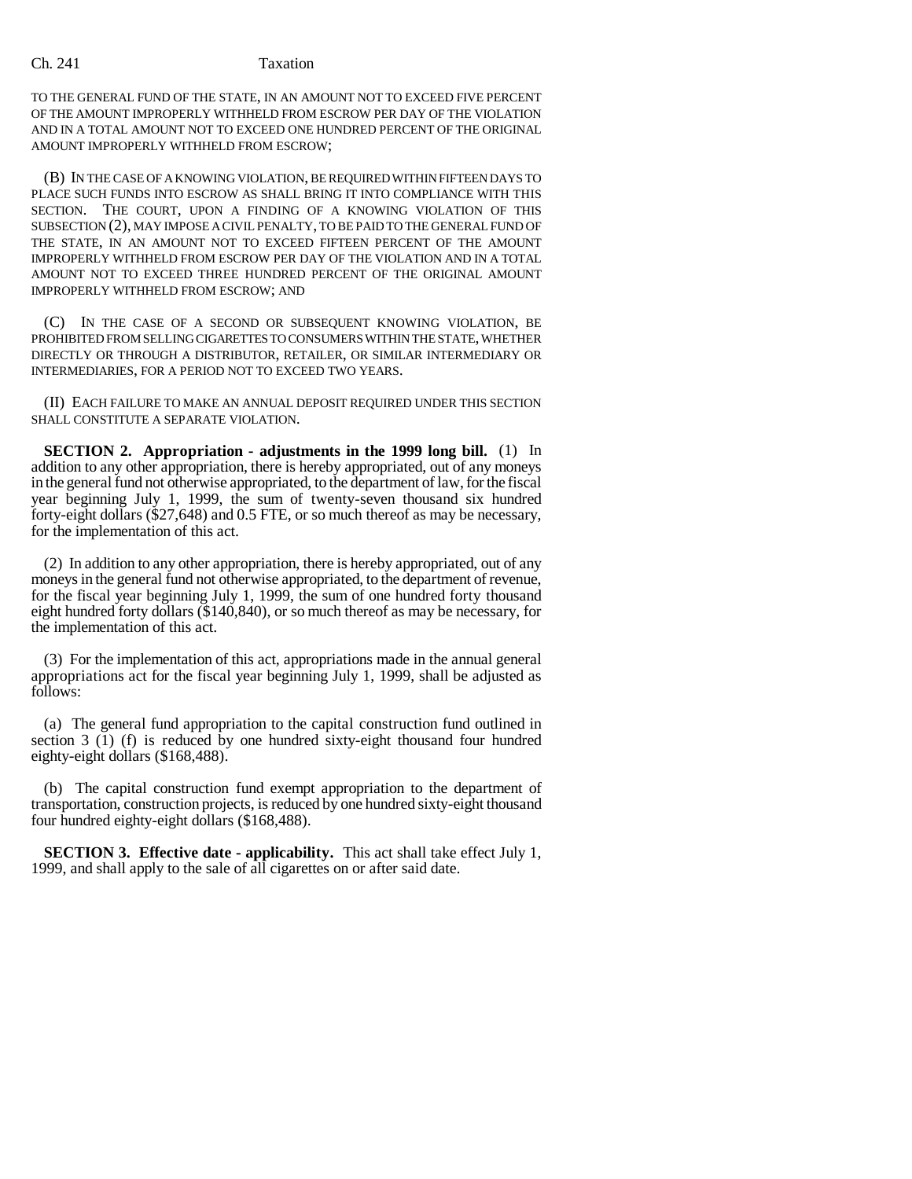TO THE GENERAL FUND OF THE STATE, IN AN AMOUNT NOT TO EXCEED FIVE PERCENT OF THE AMOUNT IMPROPERLY WITHHELD FROM ESCROW PER DAY OF THE VIOLATION AND IN A TOTAL AMOUNT NOT TO EXCEED ONE HUNDRED PERCENT OF THE ORIGINAL AMOUNT IMPROPERLY WITHHELD FROM ESCROW;

(B) IN THE CASE OF A KNOWING VIOLATION, BE REQUIRED WITHIN FIFTEEN DAYS TO PLACE SUCH FUNDS INTO ESCROW AS SHALL BRING IT INTO COMPLIANCE WITH THIS SECTION. THE COURT, UPON A FINDING OF A KNOWING VIOLATION OF THIS SUBSECTION (2), MAY IMPOSE A CIVIL PENALTY, TO BE PAID TO THE GENERAL FUND OF THE STATE, IN AN AMOUNT NOT TO EXCEED FIFTEEN PERCENT OF THE AMOUNT IMPROPERLY WITHHELD FROM ESCROW PER DAY OF THE VIOLATION AND IN A TOTAL AMOUNT NOT TO EXCEED THREE HUNDRED PERCENT OF THE ORIGINAL AMOUNT IMPROPERLY WITHHELD FROM ESCROW; AND

(C) IN THE CASE OF A SECOND OR SUBSEQUENT KNOWING VIOLATION, BE PROHIBITED FROM SELLING CIGARETTES TO CONSUMERS WITHIN THE STATE, WHETHER DIRECTLY OR THROUGH A DISTRIBUTOR, RETAILER, OR SIMILAR INTERMEDIARY OR INTERMEDIARIES, FOR A PERIOD NOT TO EXCEED TWO YEARS.

(II) EACH FAILURE TO MAKE AN ANNUAL DEPOSIT REQUIRED UNDER THIS SECTION SHALL CONSTITUTE A SEPARATE VIOLATION.

**SECTION 2. Appropriation - adjustments in the 1999 long bill.** (1) In addition to any other appropriation, there is hereby appropriated, out of any moneys in the general fund not otherwise appropriated, to the department of law, for the fiscal year beginning July 1, 1999, the sum of twenty-seven thousand six hundred forty-eight dollars (\$27,648) and 0.5 FTE, or so much thereof as may be necessary, for the implementation of this act.

(2) In addition to any other appropriation, there is hereby appropriated, out of any moneys in the general fund not otherwise appropriated, to the department of revenue, for the fiscal year beginning July 1, 1999, the sum of one hundred forty thousand eight hundred forty dollars (\$140,840), or so much thereof as may be necessary, for the implementation of this act.

(3) For the implementation of this act, appropriations made in the annual general appropriations act for the fiscal year beginning July 1, 1999, shall be adjusted as follows:

(a) The general fund appropriation to the capital construction fund outlined in section 3 (1) (f) is reduced by one hundred sixty-eight thousand four hundred eighty-eight dollars (\$168,488).

(b) The capital construction fund exempt appropriation to the department of transportation, construction projects, is reduced by one hundred sixty-eight thousand four hundred eighty-eight dollars (\$168,488).

**SECTION 3. Effective date - applicability.** This act shall take effect July 1, 1999, and shall apply to the sale of all cigarettes on or after said date.